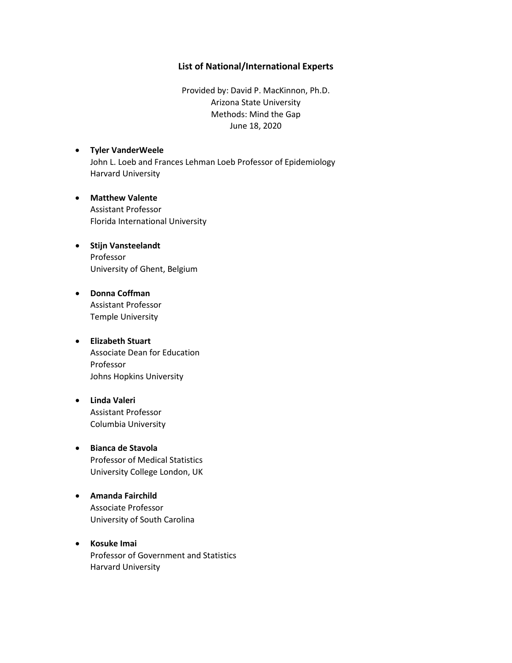## **List of National/International Experts**

Provided by: David P. MacKinnon, Ph.D. Arizona State University Methods: Mind the Gap June 18, 2020

- **Tyler VanderWeele** John L. Loeb and Frances Lehman Loeb Professor of Epidemiology Harvard University
- **Matthew Valente** Assistant Professor Florida International University
- **Stijn Vansteelandt** Professor University of Ghent, Belgium
- **Donna Coffman** Assistant Professor Temple University
- **Elizabeth Stuart** Associate Dean for Education Professor Johns Hopkins University
- **Linda Valeri** Assistant Professor Columbia University
- **Bianca de Stavola** Professor of Medical Statistics University College London, UK
- **Amanda Fairchild** Associate Professor University of South Carolina
- **Kosuke Imai** Professor of Government and Statistics Harvard University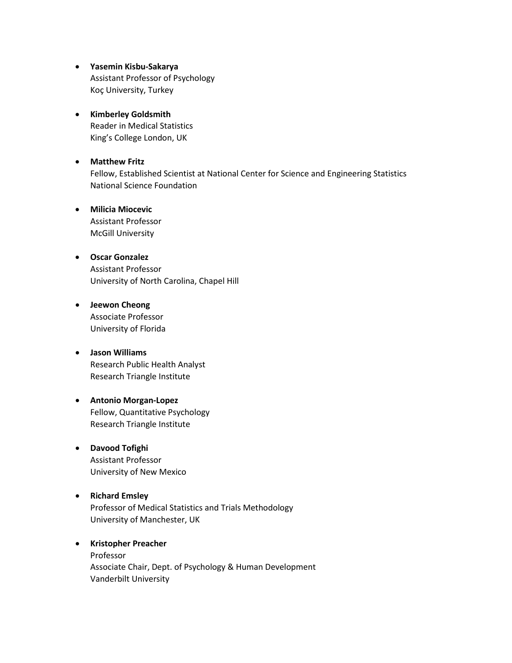- **Yasemin Kisbu-Sakarya** Assistant Professor of Psychology Koç University, Turkey
- **Kimberley Goldsmith** Reader in Medical Statistics King's College London, UK
- **Matthew Fritz** Fellow, Established Scientist at National Center for Science and Engineering Statistics National Science Foundation
- **Milicia Miocevic** Assistant Professor McGill University
- **Oscar Gonzalez** Assistant Professor University of North Carolina, Chapel Hill
- **Jeewon Cheong** Associate Professor University of Florida
- **Jason Williams** Research Public Health Analyst Research Triangle Institute
- **Antonio Morgan-Lopez** Fellow, Quantitative Psychology Research Triangle Institute
- **Davood Tofighi** Assistant Professor University of New Mexico
- **Richard Emsley** Professor of Medical Statistics and Trials Methodology University of Manchester, UK

## • **Kristopher Preacher** Professor Associate Chair, Dept. of Psychology & Human Development Vanderbilt University